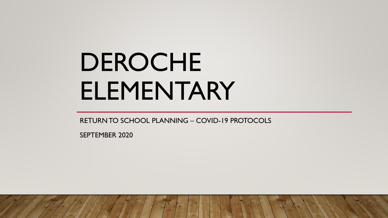# DEROCHE ELEMENTARY

RETURN TO SCHOOL PLANNING – COVID-19 PROTOCOLS

SEPTEMBER 2020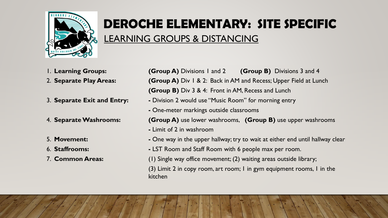

## **DEROCHE ELEMENTARY: SITE SPECIFIC**  LEARNING GROUPS & DISTANCING

- 
- 
- 
- 
- 
- 
- 

1. **Learning Groups: (Group A)** Divisions 1 and 2 **(Group B)** Divisions 3 and 4 2. **Separate Play Areas: (Group A)** Div 1 & 2: Back in AM and Recess; Upper Field at Lunch **(Group B)** Div 3 & 4: Front in AM, Recess and Lunch

- 3. **Separate Exit and Entry:** Division 2 would use "Music Room" for morning entry
	- **-** One-meter markings outside classrooms

4. **Separate Washrooms: (Group A)** use lower washrooms, **(Group B)** use upper washrooms

- **-** Limit of 2 in washroom
- 5. **Movement:** One way in the upper hallway; try to wait at either end until hallway clear
- 6. **Staffrooms: -** LST Room and Staff Room with 6 people max per room.
- 7. **Common Areas:** (1) Single way office movement; (2) waiting areas outside library;

(3) Limit 2 in copy room, art room; 1 in gym equipment rooms, 1 in the kitchen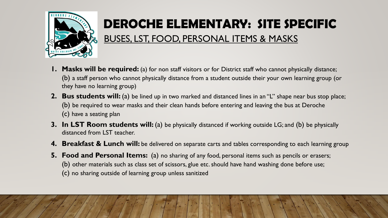

## **DEROCHE ELEMENTARY: SITE SPECIFIC**

#### BUSES, LST, FOOD, PERSONAL ITEMS & MASKS

- **1. Masks will be required:** (a) for non staff visitors or for District staff who cannot physically distance; (b) a staff person who cannot physically distance from a student outside their your own learning group (or they have no learning group)
- **2. Bus students will:** (a) be lined up in two marked and distanced lines in an "L" shape near bus stop place; (b) be required to wear masks and their clean hands before entering and leaving the bus at Deroche (c) have a seating plan
- **3. In LST Room students will:** (a) be physically distanced if working outside LG; and (b) be physically distanced from LST teacher.
- **4. Breakfast & Lunch will:** be delivered on separate carts and tables corresponding to each learning group
- **5. Food and Personal Items:** (a) no sharing of any food, personal items such as pencils or erasers; (b) other materials such as class set of scissors, glue etc. should have hand washing done before use; (c) no sharing outside of learning group unless sanitized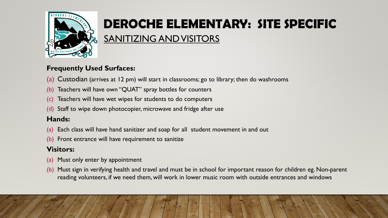

## **DEROCHE ELEMENTARY: SITE SPECIFIC**

#### SANITIZING AND VISITORS

#### **Frequently Used Surfaces:**

- (a) Custodian (arrives at 12 pm) will start in classrooms; go to library; then do washrooms
- (b) Teachers will have own "QUAT" spray bottles for counters
- Teachers will have wet wipes for students to do computers
- (d) Staff to wipe down photocopier, microwave and fridge after use

#### **Hands:**

- (a) Each class will have hand sanitizer and soap for all student movement in and out
- (b) Front entrance will have requirement to sanitize

#### **Visitors:**

- (a) Must only enter by appointment
- (b) Must sign in verifying health and travel and must be in school for important reason for children eg. Non-parent reading volunteers, if we need them, will work in lower music room with outside entrances and windows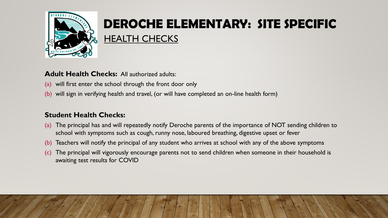

### **DEROCHE ELEMENTARY: SITE SPECIFIC**  HEALTH CHECKS

#### **Adult Health Checks: All authorized adults:**

- (a) will first enter the school through the front door only
- (b) will sign in verifying health and travel, (or will have completed an on-line health form)

#### **Student Health Checks:**

- (a) The principal has and will repeatedly notify Deroche parents of the importance of NOT sending children to school with symptoms such as cough, runny nose, laboured breathing, digestive upset or fever
- (b) Teachers will notify the principal of any student who arrives at school with any of the above symptoms
- (c) The principal will vigorously encourage parents not to send children when someone in their household is awaiting test results for COVID